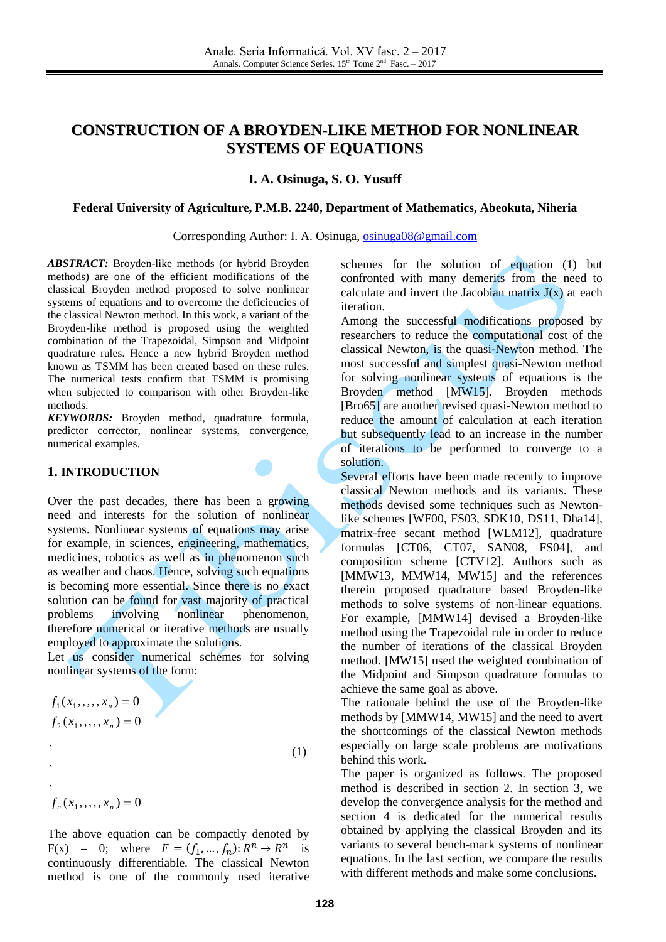# **CONSTRUCTION OF A BROYDEN-LIKE METHOD FOR NONLINEAR SYSTEMS OF EQUATIONS**

# **I. A. Osinuga, S. O. Yusuff**

#### **Federal University of Agriculture, P.M.B. 2240, Department of Mathematics, Abeokuta, Niheria**

Corresponding Author: I. A. Osinuga, [osinuga08@gmail.com](mailto:osinuga08@gmail.com)

*ABSTRACT:* Broyden-like methods (or hybrid Broyden methods) are one of the efficient modifications of the classical Broyden method proposed to solve nonlinear systems of equations and to overcome the deficiencies of the classical Newton method. In this work, a variant of the Broyden-like method is proposed using the weighted combination of the Trapezoidal, Simpson and Midpoint quadrature rules. Hence a new hybrid Broyden method known as TSMM has been created based on these rules. The numerical tests confirm that TSMM is promising when subjected to comparison with other Broyden-like methods.

*KEYWORDS:* Broyden method, quadrature formula, predictor corrector, nonlinear systems, convergence, numerical examples.

## **1. INTRODUCTION**

Over the past decades, there has been a growing need and interests for the solution of nonlinear systems. Nonlinear systems of equations may arise for example, in sciences, engineering, mathematics, medicines, robotics as well as in phenomenon such as weather and chaos. Hence, solving such equations is becoming more essential. Since there is no exact solution can be found for vast majority of practical problems involving nonlinear phenomenon, therefore numerical or iterative methods are usually employed to approximate the solutions.

Let us consider numerical schemes for solving nonlinear systems of the form:

$$
f_1(x_1, \dots, x_n) = 0
$$
  
\n
$$
f_2(x_1, \dots, x_n) = 0
$$
  
\n
$$
\tag{1}
$$

 $f_n(x_1, \ldots, x_n) = 0$ 

The above equation can be compactly denoted by  $F(x) = 0$ ; where  $F = (f_1, ..., f_n): R^n \to R^n$  is continuously differentiable. The classical Newton method is one of the commonly used iterative

schemes for the solution of equation (1) but confronted with many demerits from the need to calculate and invert the Jacobian matrix  $J(x)$  at each iteration.

Among the successful modifications proposed by researchers to reduce the computational cost of the classical Newton, is the quasi-Newton method. The most successful and simplest quasi-Newton method for solving nonlinear systems of equations is the Broyden method [MW15]. Broyden methods [Bro65] are another revised quasi-Newton method to reduce the amount of calculation at each iteration but subsequently lead to an increase in the number of iterations to be performed to converge to a solution.

Several efforts have been made recently to improve classical Newton methods and its variants. These methods devised some techniques such as Newtonlike schemes [WF00, FS03, SDK10, DS11, Dha14], matrix-free secant method [WLM12], quadrature formulas [CT06, CT07, SAN08, FS04], and composition scheme [CTV12]. Authors such as [MMW13, MMW14, MW15] and the references therein proposed quadrature based Broyden-like methods to solve systems of non-linear equations. For example, [MMW14] devised a Broyden-like method using the Trapezoidal rule in order to reduce the number of iterations of the classical Broyden method. [MW15] used the weighted combination of the Midpoint and Simpson quadrature formulas to achieve the same goal as above.

The rationale behind the use of the Broyden-like methods by [MMW14, MW15] and the need to avert the shortcomings of the classical Newton methods especially on large scale problems are motivations behind this work.

The paper is organized as follows. The proposed method is described in section 2. In section 3, we develop the convergence analysis for the method and section 4 is dedicated for the numerical results obtained by applying the classical Broyden and its variants to several bench-mark systems of nonlinear equations. In the last section, we compare the results with different methods and make some conclusions.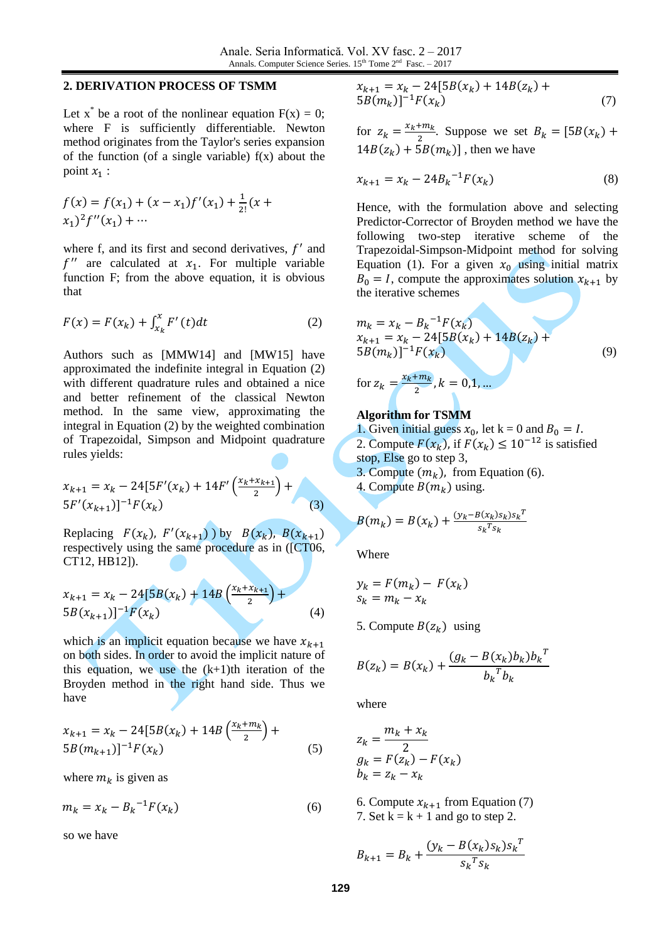#### **2. DERIVATION PROCESS OF TSMM**

Let  $x^*$  be a root of the nonlinear equation  $F(x) = 0$ ; where F is sufficiently differentiable. Newton method originates from the Taylor's series expansion of the function (of a single variable)  $f(x)$  about the point  $x_1$  :

$$
f(x) = f(x1) + (x - x1)f'(x1) + \frac{1}{2!}(x + x1)2f''(x1) + \cdots
$$

where  $f$ , and its first and second derivatives,  $f'$  and  $f''$  are calculated at  $x_1$ . For multiple variable function F; from the above equation, it is obvious that

$$
F(x) = F(x_k) + \int_{x_k}^{x} F'(t) dt
$$
 (2)

Authors such as [MMW14] and [MW15] have approximated the indefinite integral in Equation (2) with different quadrature rules and obtained a nice and better refinement of the classical Newton method. In the same view, approximating the integral in Equation (2) by the weighted combination of Trapezoidal, Simpson and Midpoint quadrature rules yields:

$$
x_{k+1} = x_k - 24[5F'(x_k) + 14F'\left(\frac{x_k + x_{k+1}}{2}\right) + 5F'(x_{k+1})]^{-1}F(x_k)
$$
\n(3)

Replacing  $F(x_k)$ ,  $F'(x_{k+1})$ ) by  $B(x_k)$ ,  $B(x_{k+1})$ respectively using the same procedure as in ([CT06, CT12, HB12]).

$$
x_{k+1} = x_k - 24[5B(x_k) + 14B\left(\frac{x_k + x_{k+1}}{2}\right) + 5B(x_{k+1})]^{-1}F(x_k)
$$
\n(4)

which is an implicit equation because we have  $x_{k+1}$ on both sides. In order to avoid the implicit nature of this equation, we use the  $(k+1)$ th iteration of the Broyden method in the right hand side. Thus we have

$$
x_{k+1} = x_k - 24[5B(x_k) + 14B\left(\frac{x_k + m_k}{2}\right) + 5B(m_{k+1})]^{-1}F(x_k)
$$
\n(5)

where  $m_k$  is given as

$$
m_k = x_k - B_k^{-1} F(x_k)
$$
 (6)

so we have

$$
x_{k+1} = x_k - 24[5B(x_k) + 14B(z_k) + 5B(m_k)]^{-1}F(x_k)
$$
\n(7)

for  $z_k = \frac{x}{x}$  $\frac{m_k}{2}$ . Suppose we set  $B_k = [5B(x_k)]$  $14B(z_k) + 5B(m_k)$ , then we have

$$
x_{k+1} = x_k - 24B_k^{-1}F(x_k)
$$
 (8)

Hence, with the formulation above and selecting Predictor-Corrector of Broyden method we have the following two-step iterative scheme of the Trapezoidal-Simpson-Midpoint method for solving Equation (1). For a given  $x_0$  using initial matrix  $B_0 = I$ , compute the approximates solution  $x_{k+1}$  by the iterative schemes

$$
m_k = x_k - B_k^{-1} F(x_k)
$$
  
\n
$$
x_{k+1} = x_k - 24[5B(x_k) + 14B(z_k) + 5B(m_k)]^{-1} F(x_k)
$$
\n(9)

for 
$$
z_k = \frac{x_k + m_k}{2}
$$
,  $k = 0, 1, ...$ 

### **Algorithm for TSMM**

1. Given initial guess  $x_0$ , let k = 0 and  $B_0 = I$ . 2. Compute  $F(x_k)$ , if  $F(x_k) \le 10^{-12}$  is satisfied stop, Else go to step 3, 3. Compute  $(m_k)$ , from Equation (6).

4. Compute  $B(m_k)$  using.

$$
B(m_k) = B(x_k) + \frac{(y_k - B(x_k)s_k)s_k^T}{s_k^Ts_k}
$$

Where

$$
y_k = F(m_k) - F(x_k)
$$
  

$$
s_k = m_k - x_k
$$

5. Compute  $B(z_k)$  using

$$
B(z_k) = B(x_k) + \frac{(g_k - B(x_k)b_k)b_k^{T}}{b_k^{T}b_k}
$$

where

$$
z_k = \frac{m_k + x_k}{2}
$$
  
\n
$$
g_k = F(z_k) - F(x_k)
$$
  
\n
$$
b_k = z_k - x_k
$$

6. Compute  $x_{k+1}$  from Equation (7) 7. Set  $k = k + 1$  and go to step 2.

$$
B_{k+1} = B_k + \frac{(y_k - B(x_k)s_k)s_k^T}{s_k^T s_k}
$$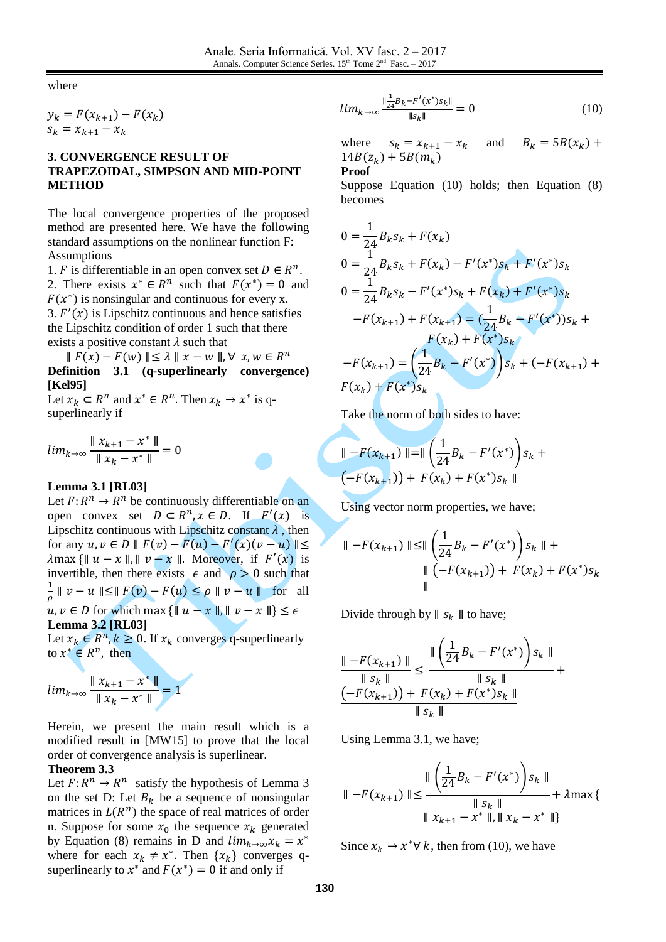where

 $y_k = F(x_{k+1}) - F(x_k)$  $s_k = x_{k+1} - x_k$ 

# **3. CONVERGENCE RESULT OF TRAPEZOIDAL, SIMPSON AND MID-POINT METHOD**

The local convergence properties of the proposed method are presented here. We have the following standard assumptions on the nonlinear function F: Assumptions

1. *F* is differentiable in an open convex set  $D \in \mathbb{R}^n$ . 2. There exists  $x^* \in R^n$  such that  $F(x^*) = 0$  and  $F(x^*)$  is nonsingular and continuous for every x. 3.  $F'(x)$  is Lipschitz continuous and hence satisfies the Lipschitz condition of order 1 such that there exists a positive constant  $\lambda$  such that

 $|| F(x) - F(w) || \le \lambda || x - w ||$ ,  $\forall x, w \in R^n$ **Definition 3.1 (q-superlinearly convergence) [Kel95]**

Let  $x_k \subset R^n$  and  $x^* \in R^n$ . Then  $x_k \to x^*$  is qsuperlinearly if

 $\iota$  $|| x_{k+1} - x^* ||$  $\frac{1}{\|x_k - x^*\|}$  =

#### **Lemma 3.1 [RL03]**

Let  $F: R^n \to R^n$  be continuously differentiable on an open convex set  $D \subset R^n$ ,  $x \in D$ . If  $F'(x)$  is Lipschitz continuous with Lipschitz constant  $\lambda$ , then for any  $u, v \in D \parallel F(v) - F(u) - F'(u)$  $\lambda$ max {||  $u - x$  ||, ||  $v - x$  ||. Moreover, if  $F'(x)$  is invertible, then there exists  $\epsilon$  and  $\rho > 0$  such that  $\mathbf{1}$  $\frac{1}{\rho} \parallel v - u \parallel \leq \parallel F(v) - F(u) \leq \rho \parallel v - u \parallel$  for all  $u, v \in D$  for which max  $\{\|u - x\|, \|v - x\|\} \leq \epsilon$ **Lemma 3.2 [RL03]**

Let  $x_k \in R^n, k \ge 0$ . If  $x_k$  converges q-superlinearly to  $x^* \in R^n$ , then

$$
lim_{k \to \infty} \frac{\parallel x_{k+1} - x^* \parallel}{\parallel x_k - x^* \parallel} = 1
$$

Herein, we present the main result which is a modified result in [MW15] to prove that the local order of convergence analysis is superlinear.

#### **Theorem 3.3**

Let  $F: R^n \to R^n$  satisfy the hypothesis of Lemma 3 on the set D: Let  $B_k$  be a sequence of nonsingular matrices in  $L(R^n)$  the space of real matrices of order n. Suppose for some  $x_0$  the sequence  $x_k$  generated by Equation (8) remains in D and  $lim_{k\to\infty}x_k = x^*$ where for each  $x_k \neq x^*$ . Then  $\{x_k\}$  converges qsuperlinearly to  $x^*$  and  $F(x^*) = 0$  if and only if

$$
lim_{k \to \infty} \frac{\frac{1}{24}B_k - F'(x^*)s_k \mathbb{I}}{\|s_k\|} = 0 \tag{10}
$$

where  $s_k = x_{k+1} - x_k$  and  $B_k = 5B(x_k)$  $14B(z_k)$ 

#### **Proof**

Suppose Equation (10) holds; then Equation (8) becomes

$$
0 = \frac{1}{24} B_k s_k + F(x_k)
$$
  
\n
$$
0 = \frac{1}{24} B_k s_k + F(x_k) - F'(x^*) s_k + F'(x^*) s_k
$$
  
\n
$$
0 = \frac{1}{24} B_k s_k - F'(x^*) s_k + F(x_k) + F'(x^*) s_k
$$
  
\n
$$
-F(x_{k+1}) + F(x_{k+1}) = (\frac{1}{24} B_k - F'(x^*)) s_k + F(x_{k+1}) = (\frac{1}{24} B_k - F'(x^*)) s_k
$$
  
\n
$$
-F(x_{k+1}) = (\frac{1}{24} B_k - F'(x^*)) s_k + (-F(x_{k+1}) + F(x_k) + F(x^*) s_k)
$$

Take the norm of both sides to have:

$$
\|\n-F(x_{k+1})\|\n= \|\n\left(\frac{1}{24}B_k - F'(x^*)\right) s_k +\n(-F(x_{k+1})) + F(x_k) + F(x^*) s_k \|
$$

Using vector norm properties, we have;

$$
\|\n-F(x_{k+1})\| \le \|\left(\frac{1}{24}B_k - F'(x^*)\right)s_k\| + \|\left(-F(x_{k+1})\right) + F(x_k) + F(x^*)s_k\|
$$

Divide through by  $|| s_k ||$  to have;

$$
\frac{\| -F(x_{k+1}) \|}{\| s_k \|} \le \frac{\| \left( \frac{1}{24} B_k - F'(x^*) \right) s_k \|}{\| s_k \|} + \frac{\| s_k \|}{\| s_k \|} + \frac{\| s_k \|}{\| s_k \|}
$$

Using Lemma 3.1, we have;

$$
\|\n-\n-F(x_{k+1})\| \le \frac{\|\left(\frac{1}{24}B_k - F'(x^*)\right)s_k\|}{\|s_k\|} + \lambda \max \left\{\n\|\frac{s_k}{\|s_k\|} - x^*\|, \|x_k - x^*\|\right\}
$$

Since  $x_k \to x^* \forall k$ , then from (10), we have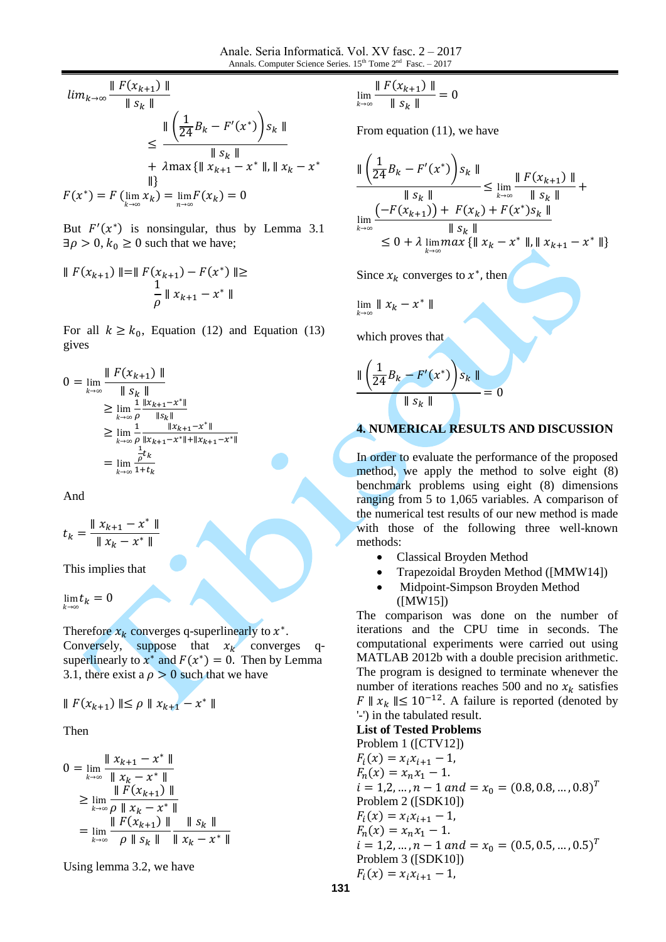$$
\lim_{k \to \infty} \frac{\| F(x_{k+1}) \|}{\| s_k \|}
$$
\n
$$
\leq \frac{\| \left( \frac{1}{24} B_k - F'(x^*) \right) s_k \|}{\| s_k \|}
$$
\n
$$
+ \lambda \max \{ \| x_{k+1} - x^* \|, \| x_k - x^* \| \}
$$
\n
$$
F(x^*) = F(\lim_{k \to \infty} x_k) = \lim_{n \to \infty} F(x_k) = 0
$$

But  $F'(x^*)$  is nonsingular, thus by Lemma 3.1  $\exists \rho > 0, k_0 \geq 0$  such that we have;

$$
\| F(x_{k+1}) \| = \| F(x_{k+1}) - F(x^*) \| \ge
$$
  

$$
\frac{1}{\rho} \| x_{k+1} - x^* \|
$$

For all  $k \geq k_0$ , Equation (12) and Equation (13) gives

$$
0 = \lim_{k \to \infty} \frac{\| F(x_{k+1}) \|}{\| s_k \|} \n\geq \lim_{k \to \infty} \frac{\frac{1}{p} \frac{\| x_{k+1} - x^* \|}{\| s_k \|}}{\frac{1}{p} \frac{\| x_{k+1} - x^* \|}{\| x_{k+1} - x^* \| + \| x_{k+1} - x^* \|}} \n\geq \lim_{k \to \infty} \frac{\frac{1}{p} t_k}{\frac{1}{p} t_k} \n= \lim_{k \to \infty} \frac{\frac{1}{p} t_k}{1 + t_k}
$$

And

 $t$  $|| x_{k+1} - x^* ||$  $\parallel x_k - x^*$ 

This implies that

 $\lim t$  $\boldsymbol{k}$ 

Therefore  $x_k$  converges q-superlinearly to  $x^*$ .

Conversely, suppose that  $x_k$  converges qsuperlinearly to  $x^*$  and  $F(x^*) = 0$ . Then by Lemma 3.1, there exist a  $\rho > 0$  such that we have

$$
\| F(x_{k+1}) \| \le \rho \| x_{k+1} - x^* \|
$$

Then

$$
0 = \lim_{k \to \infty} \frac{\|x_{k+1} - x^*\|}{\|x_k - x^*\|}
$$
  
\n
$$
\geq \lim_{k \to \infty} \frac{\|F(x_{k+1})\|}{\rho \|x_k - x^*\|}
$$
  
\n
$$
= \lim_{k \to \infty} \frac{\|F(x_{k+1})\|}{\rho \|s_k\| \|x_k - x^*\|}
$$

Using lemma 3.2, we have

$$
\lim_{k\to\infty}\frac{\parallel F(x_{k+1})\parallel}{\parallel s_k\parallel}=0
$$

From equation (11), we have

$$
\frac{\| \left( \frac{1}{24} B_k - F'(x^*) \right) s_k \|}{\| s_k \|} \le \lim_{k \to \infty} \frac{\| F(x_{k+1}) \|}{\| s_k \|} + \lim_{k \to \infty} \frac{\left( -F(x_{k+1}) \right) + F(x_k) + F(x^*) s_k \|}{\| s_k \|} \le 0 + \lambda \lim_{k \to \infty} \max \{ \| x_k - x^* \|, \| x_{k+1} - x^* \| \}
$$

Since  $x_k$  converges to  $x^*$ , then

$$
\lim_{k\to\infty}\parallel x_k-x^*\parallel
$$

which proves that

$$
\frac{\| \left( \frac{1}{24} B_k - F'(x^*) \right) s_k \|}{\| s_k \|} = 0
$$

# **4. NUMERICAL RESULTS AND DISCUSSION**

In order to evaluate the performance of the proposed method, we apply the method to solve eight (8) benchmark problems using eight (8) dimensions ranging from 5 to 1,065 variables. A comparison of the numerical test results of our new method is made with those of the following three well-known methods:

- Classical Broyden Method
- Trapezoidal Broyden Method ([MMW14])
- Midpoint-Simpson Broyden Method ([MW15])

The comparison was done on the number of iterations and the CPU time in seconds. The computational experiments were carried out using MATLAB 2012b with a double precision arithmetic. The program is designed to terminate whenever the number of iterations reaches 500 and no  $x_k$  satisfies  $F \parallel x_k \parallel \leq 10^{-12}$ . A failure is reported (denoted by '-') in the tabulated result.

**List of Tested Problems**

Problem 1 ([CTV12])  
\n
$$
F_i(x) = x_i x_{i+1} - 1,
$$
  
\n $F_n(x) = x_n x_1 - 1.$   
\n $i = 1, 2, ..., n - 1$  and  $= x_0 = (0.8, 0.8, ..., 0.8)^T$   
\nProblem 2 ([SDK10])  
\n $F_i(x) = x_i x_{i+1} - 1,$   
\n $F_n(x) = x_n x_1 - 1.$   
\n $i = 1, 2, ..., n - 1$  and  $= x_0 = (0.5, 0.5, ..., 0.5)^T$   
\nProblem 3 ([SDK10])  
\n $F_i(x) = x_i x_{i+1} - 1,$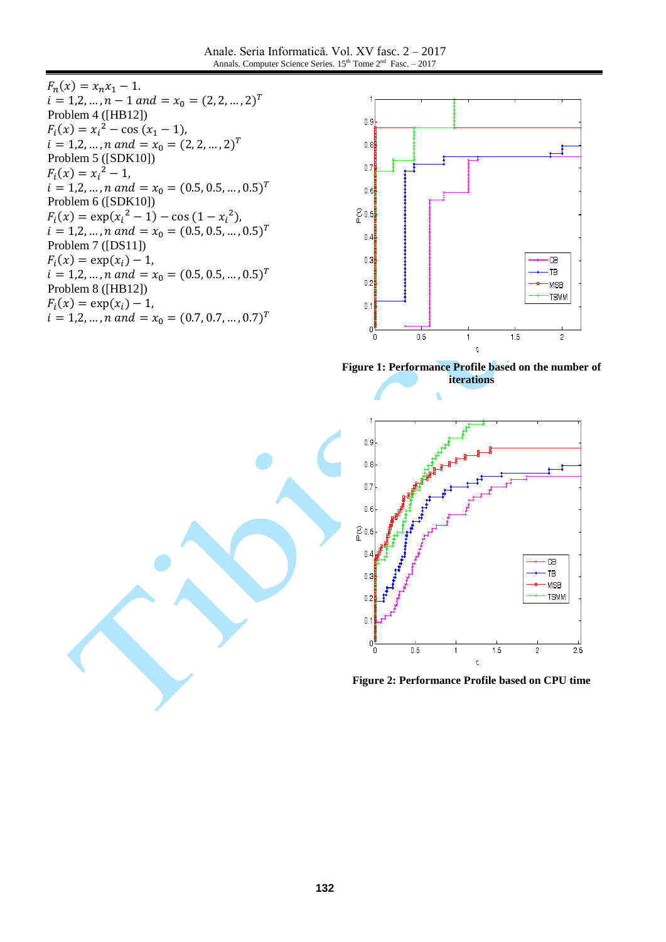Anale. Seria Informatică. Vol. XV fasc. 2 – 2017 Annals. Computer Science Series.  $15^{th}$  Tome  $2^{nd}$  Fasc. - 2017

 $F_n($  $i = 1, 2, ..., n - 1$  and  $x_0 = (2, 2, ..., 2)^T$ Problem 4 ([HB12])  $F_i(x) = x_i^2$  $i = 1, 2, ..., n$  and  $x_0 = (2, 2, ..., 2)^T$ Problem 5 ([SDK10])  $F_i(x) = x_i^2$  $i = 1, 2, ..., n$  and  $x_0 = (0.5, 0.5, ..., 0.5)^T$ Problem 6 ([SDK10])  $F_i(x) = \exp(x_i^2 - 1) - \cos(1 - x_i^2)$  $i = 1, 2, ..., n$  and  $x_0 = (0.5, 0.5, ..., 0.5)^T$ Problem 7 ([DS11])  $F_i($  $i = 1, 2, ..., n$  and  $x_0 = (0.5, 0.5, ..., 0.5)^T$ Problem 8 ([HB12])  $F_i($  $i = 1, 2, ..., n$  and  $x_0 = (0.7, 0.7, ..., 0.7)^T$ 



**Figure 1: Performance Profile based on the number of iterations**



**Figure 2: Performance Profile based on CPU time**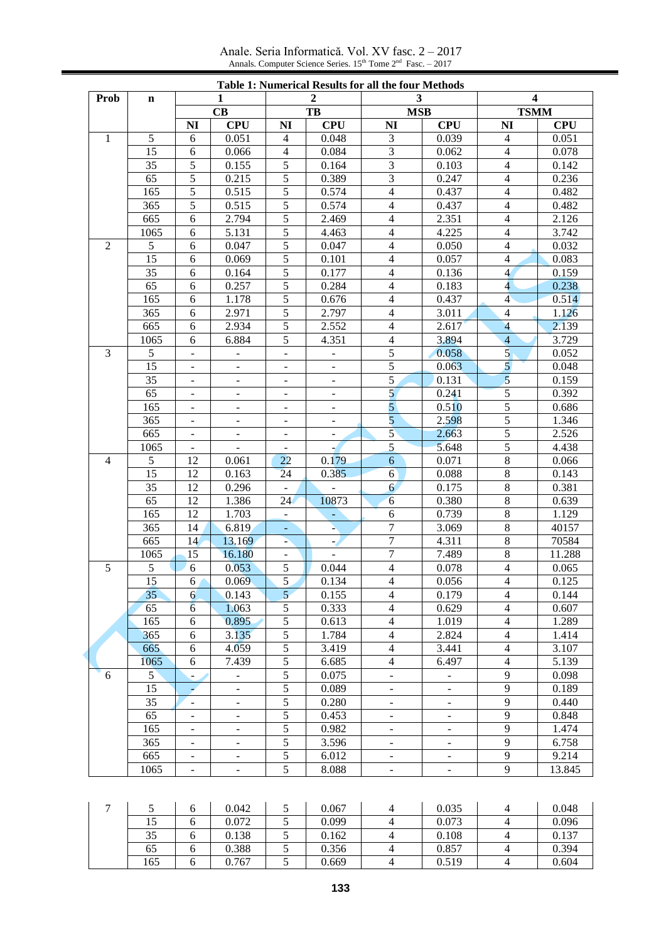Anale. Seria Informatică. Vol. XV fasc. 2 – 2017 Annals. Computer Science Series.  $15<sup>th</sup>$  Tome  $2<sup>nd</sup>$  Fasc. – 2017

|                |                |                          |                          |                          |                          | <b>Table 1: Numerical Results for all the four Methods</b> |                          |                          |                     |
|----------------|----------------|--------------------------|--------------------------|--------------------------|--------------------------|------------------------------------------------------------|--------------------------|--------------------------|---------------------|
| <b>Prob</b>    | $\mathbf n$    |                          | $\mathbf{1}$             |                          | $\mathbf{2}$             | 3                                                          |                          | 4                        |                     |
|                |                |                          | CB                       |                          | TB                       | <b>MSB</b>                                                 |                          | <b>TSMM</b>              |                     |
| $\mathbf{1}$   | 5              | NI<br>6                  | <b>CPU</b><br>0.051      | NI<br>$\overline{4}$     | <b>CPU</b><br>0.048      | <b>NI</b><br>3                                             | <b>CPU</b><br>0.039      | NI<br>$\overline{4}$     | <b>CPU</b><br>0.051 |
|                | 15             | 6                        | 0.066                    | $\overline{4}$           | 0.084                    | 3                                                          | 0.062                    | $\overline{4}$           | 0.078               |
|                | 35             | 5                        | 0.155                    | 5                        | 0.164                    | 3                                                          | 0.103                    | $\overline{\mathcal{L}}$ | 0.142               |
|                | 65             | 5                        | 0.215                    | 5                        | 0.389                    | 3                                                          | 0.247                    | $\overline{\mathcal{L}}$ | 0.236               |
|                | 165            | 5                        | 0.515                    | 5                        | 0.574                    | $\overline{4}$                                             | 0.437                    | $\overline{4}$           | 0.482               |
|                | 365            | 5                        | 0.515                    | 5                        | 0.574                    | $\overline{4}$                                             | 0.437                    | $\overline{\mathcal{L}}$ | 0.482               |
|                | 665            | 6                        | 2.794                    | 5                        | 2.469                    | $\overline{4}$                                             | 2.351                    | $\overline{\mathcal{L}}$ | 2.126               |
|                | 1065           | 6                        | 5.131                    | 5                        | 4.463                    | $\overline{4}$                                             | 4.225                    | $\overline{4}$           | 3.742               |
| $\overline{2}$ | 5              | 6                        | 0.047                    | 5                        | 0.047                    | $\overline{4}$                                             | 0.050                    | $\overline{4}$           | 0.032               |
|                | 15             | 6                        | 0.069                    | 5                        | 0.101                    | $\overline{4}$                                             | 0.057                    | $\overline{4}$           | 0.083               |
|                | 35             | 6                        | 0.164                    | 5                        | 0.177                    | $\overline{4}$                                             | 0.136                    | $\overline{4}$           | 0.159               |
|                | 65             | 6                        | 0.257                    | 5                        | 0.284                    | $\overline{4}$                                             | 0.183                    | $\overline{\mathbf{4}}$  | 0.238               |
|                | 165            | 6                        | 1.178                    | 5                        | 0.676                    | $\overline{4}$                                             | 0.437                    | $\overline{4}$           | 0.514               |
|                | 365            | 6                        | 2.971                    | 5                        | 2.797                    | $\overline{4}$                                             | 3.011                    | $\overline{4}$           | 1.126               |
|                | 665            | 6                        | 2.934                    | 5                        | 2.552                    | $\overline{4}$                                             | 2.617                    | $\overline{4}$           | 2.139               |
|                | 1065           | 6                        | 6.884                    | 5                        | 4.351                    | $\overline{4}$                                             | 3.894                    | $\overline{4}$           | 3.729               |
| 3              | 5              | $\equiv$                 | $\blacksquare$           | $\blacksquare$           | $\overline{\phantom{0}}$ | 5                                                          | 0.058                    | $\overline{5}$           | 0.052               |
|                | 15             | $\overline{\phantom{a}}$ | $\overline{a}$           | $\blacksquare$           | $\overline{\phantom{a}}$ | 5                                                          | 0.063                    | $\mathbf{5}$             | 0.048               |
|                | 35             | $\overline{\phantom{a}}$ | $\overline{\phantom{a}}$ | $\overline{\phantom{a}}$ | $\overline{\phantom{0}}$ | $\sqrt{5}$                                                 | 0.131                    | $\overline{5}$           | 0.159               |
|                | 65             | $\overline{\phantom{a}}$ | $\overline{\phantom{a}}$ | $\blacksquare$           | $\frac{1}{2}$            | $\overline{5}$                                             | 0.241                    | 5                        | 0.392               |
|                | 165            | $\overline{\phantom{a}}$ | $\overline{\phantom{a}}$ | $\blacksquare$           | $\overline{\phantom{0}}$ | 5                                                          | 0.510                    | 5                        | 0.686               |
|                | 365            | $\blacksquare$           | $\overline{\phantom{a}}$ | $\overline{\phantom{a}}$ | $\overline{\phantom{0}}$ | 5                                                          | 2.598                    | 5                        | 1.346               |
|                | 665            | $\overline{\phantom{a}}$ | $\blacksquare$           | $\blacksquare$           | $\overline{\phantom{a}}$ | $5^{\circ}$                                                | 2.663                    | 5                        | 2.526               |
|                | 1065           | $\overline{\phantom{a}}$ | $\blacksquare$           | $\blacksquare$           | ÷,                       | 5                                                          | 5.648                    | 5                        | 4.438               |
| $\overline{4}$ | 5              | 12                       | 0.061                    | 22                       | 0.179                    | 6                                                          | 0.071                    | $\,$ 8 $\,$              | 0.066               |
|                | 15             | 12                       | 0.163                    | 24                       | 0.385                    | 6                                                          | 0.088                    | $8\,$                    | 0.143               |
|                | 35             | 12                       | 0.296                    | $\blacksquare$           |                          | $\overline{6}$                                             | 0.175                    | $\,$ 8 $\,$              | 0.381               |
|                | 65             | 12                       | 1.386                    | 24                       | 10873                    | 6                                                          | 0.380                    | $\,8\,$                  | 0.639               |
|                | 165            | 12                       | 1.703                    | $\blacksquare$           | ÷.                       | 6                                                          | 0.739                    | $8\,$                    | 1.129               |
|                | 365            | 14                       | 6.819                    | $\blacksquare$           | à,                       | 7                                                          | 3.069                    | $\,$ 8 $\,$              | 40157               |
|                | 665            | 14                       | 13.169                   | ÷                        | لرم                      | $\overline{7}$                                             | 4.311                    | $\,8\,$                  | 70584               |
|                | 1065           | 15                       | 16.180                   | $\blacksquare$           | $\overline{a}$           | 7                                                          | 7.489                    | $\,8\,$                  | 11.288              |
| 5              | 5              | 6                        | 0.053                    | 5                        | 0.044                    | $\overline{4}$                                             | 0.078                    | $\overline{4}$           | 0.065               |
|                | 15             | 6                        | 0.069                    | 5                        | 0.134                    | $\overline{\mathcal{L}}$                                   | 0.056                    | $\overline{4}$           | 0.125               |
|                | 35             | 6                        | 0.143                    | 5 <sup>5</sup>           | 0.155                    | $\overline{4}$                                             | 0.179                    | $\overline{4}$           | 0.144               |
|                | 65             | $6\overline{6}$          | 1.063                    | 5                        | 0.333                    | $\overline{4}$                                             | 0.629                    | 4                        | 0.607               |
|                | 165            | 6                        | 0.895                    | 5                        | 0.613                    | $\overline{4}$                                             | 1.019                    | $\overline{4}$           | 1.289               |
|                | 365            | 6                        | 3.135                    | 5                        | 1.784                    | $\overline{4}$                                             | 2.824                    | $\overline{\mathcal{A}}$ | 1.414               |
|                | 665            | 6                        | 4.059                    | 5                        | 3.419                    | $\overline{4}$                                             | 3.441                    | $\overline{4}$           | 3.107               |
|                | 1065           | 6                        | 7.439                    | 5                        | 6.685                    | $\overline{4}$                                             | 6.497                    | $\overline{4}$           | 5.139               |
| 6              | 5 <sup>1</sup> | $\overline{\phantom{0}}$ | $\overline{\phantom{a}}$ | 5                        | 0.075                    | $\overline{\phantom{a}}$                                   | $\overline{\phantom{a}}$ | 9                        | 0.098               |
|                | 15             |                          | $\overline{\phantom{a}}$ | 5                        | 0.089                    |                                                            | $\overline{\phantom{a}}$ | 9                        | 0.189               |
|                | 35             | $\overline{\phantom{0}}$ | $\overline{\phantom{0}}$ | $\sqrt{5}$               | 0.280                    | $\overline{\phantom{a}}$                                   | $\blacksquare$           | 9                        | 0.440               |
|                | 65             | $\overline{\phantom{0}}$ | $\overline{\phantom{0}}$ | 5                        | 0.453                    | $\overline{\phantom{a}}$                                   | $\overline{\phantom{a}}$ | 9                        | 0.848               |
|                | 165            | $\overline{\phantom{0}}$ | $\overline{\phantom{0}}$ | 5                        | 0.982                    | $\overline{\phantom{a}}$                                   | $\overline{\phantom{a}}$ | 9                        | 1.474               |
|                | 365            | $\overline{\phantom{0}}$ | $\overline{\phantom{0}}$ | 5                        | 3.596                    | $\overline{\phantom{a}}$                                   | $\overline{\phantom{a}}$ | 9                        | 6.758               |
|                | 665            | $\overline{\phantom{0}}$ | $\overline{\phantom{0}}$ | 5                        | 6.012                    |                                                            | $\overline{\phantom{a}}$ | 9                        | 9.214               |
|                | 1065           | $\overline{\phantom{0}}$ | $\overline{\phantom{0}}$ | 5                        | 8.088                    |                                                            | $\overline{\phantom{a}}$ | 9                        | 13.845              |

| $\overline{ }$ |     | 0.042 | 0.067 | 0.035 | 0.048 |
|----------------|-----|-------|-------|-------|-------|
|                | 15  | 0.072 | 0.099 | 0.073 | 0.096 |
|                | 35  | 0.138 | 0.162 | 0.108 | 0.137 |
|                | 65  | 0.388 | 0.356 | 0.857 | 0.394 |
|                | 165 | 0.767 | 0.669 | 0.519 | 0.604 |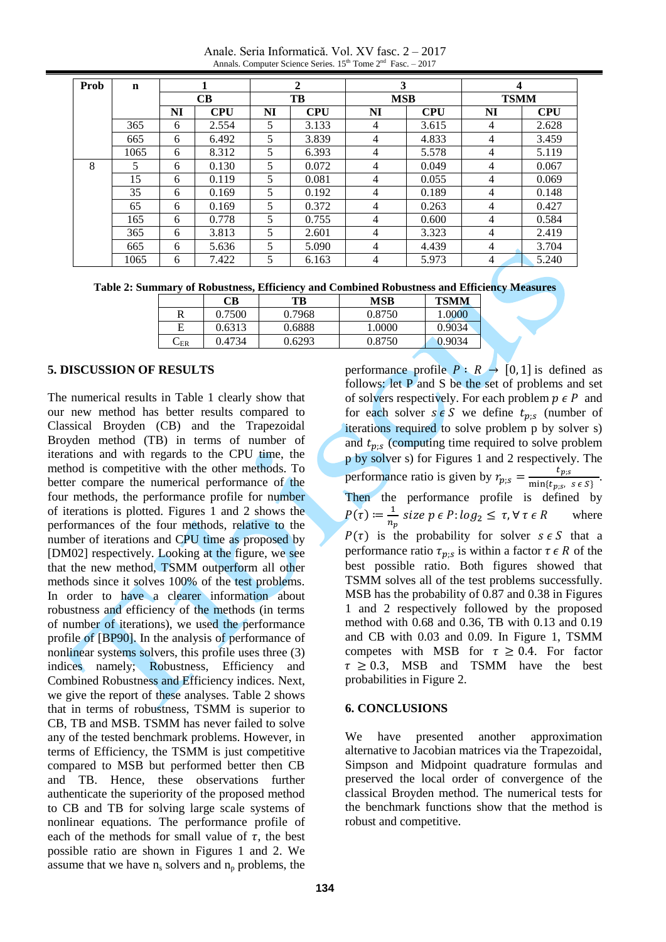Anale. Seria Informatică. Vol. XV fasc. 2 – 2017 Annals. Computer Science Series.  $15^{th}$  Tome  $2^{nd}$  Fasc. - 2017

| Prob | $\mathbf n$ |    |            |    | 2          | 3              |            | 4              |            |
|------|-------------|----|------------|----|------------|----------------|------------|----------------|------------|
|      |             |    | CB         |    | TB         | <b>MSB</b>     |            | <b>TSMM</b>    |            |
|      |             | NI | <b>CPU</b> | NI | <b>CPU</b> | NI             | <b>CPU</b> | NI             | <b>CPU</b> |
|      | 365         | 6  | 2.554      | 5  | 3.133      | 4              | 3.615      | 4              | 2.628      |
|      | 665         | 6  | 6.492      | 5  | 3.839      | $\overline{4}$ | 4.833      | 4              | 3.459      |
|      | 1065        | 6  | 8.312      | 5  | 6.393      | 4              | 5.578      | 4              | 5.119      |
| 8    | 5           | 6  | 0.130      | 5  | 0.072      | $\overline{4}$ | 0.049      | 4              | 0.067      |
|      | 15          | 6  | 0.119      | 5  | 0.081      | 4              | 0.055      | $\overline{4}$ | 0.069      |
|      | 35          | 6  | 0.169      | 5  | 0.192      | $\overline{4}$ | 0.189      | 4              | 0.148      |
|      | 65          | 6  | 0.169      | 5  | 0.372      | $\overline{4}$ | 0.263      | $\overline{4}$ | 0.427      |
|      | 165         | 6  | 0.778      | 5  | 0.755      | 4              | 0.600      | 4              | 0.584      |
|      | 365         | 6  | 3.813      | 5  | 2.601      | $\overline{4}$ | 3.323      | 4              | 2.419      |
|      | 665         | 6  | 5.636      | 5  | 5.090      | 4              | 4.439      | $\overline{4}$ | 3.704      |
|      | 1065        | 6  | 7.422      | 5  | 6.163      | $\overline{4}$ | 5.973      | 4              | 5.240      |

**Table 2: Summary of Robustness, Efficiency and Combined Robustness and Efficiency Measures**

|                    | $\mathbb C\mathbf B$ | TB     | <b>MSB</b> | <b>TSMM</b> |
|--------------------|----------------------|--------|------------|-------------|
|                    | 0.7500               | 0.7968 | 0.8750     | .0000       |
|                    | 0.6313               | 0.6888 | .0000      | 0.9034      |
| $\mathcal{L}_{ER}$ | 0.4734               | 0.6293 | 0.8750     | 0.9034      |

## **5. DISCUSSION OF RESULTS**

The numerical results in Table 1 clearly show that our new method has better results compared to Classical Broyden (CB) and the Trapezoidal Broyden method (TB) in terms of number of iterations and with regards to the CPU time, the method is competitive with the other methods. To better compare the numerical performance of the four methods, the performance profile for number of iterations is plotted. Figures 1 and 2 shows the performances of the four methods, relative to the number of iterations and CPU time as proposed by [DM02] respectively. Looking at the figure, we see that the new method, TSMM outperform all other methods since it solves 100% of the test problems. In order to have a clearer information about robustness and efficiency of the methods (in terms of number of iterations), we used the performance profile of [BP90]. In the analysis of performance of nonlinear systems solvers, this profile uses three (3) indices namely; Robustness, Efficiency and Combined Robustness and Efficiency indices. Next, we give the report of these analyses. Table 2 shows that in terms of robustness, TSMM is superior to CB, TB and MSB. TSMM has never failed to solve any of the tested benchmark problems. However, in terms of Efficiency, the TSMM is just competitive compared to MSB but performed better then CB and TB. Hence, these observations further authenticate the superiority of the proposed method to CB and TB for solving large scale systems of nonlinear equations. The performance profile of each of the methods for small value of  $\tau$ , the best possible ratio are shown in Figures 1 and 2. We assume that we have  $n_s$  solvers and  $n_p$  problems, the

performance profile  $P: R \rightarrow [0, 1]$  is defined as follows: let P and S be the set of problems and set of solvers respectively. For each problem  $p \in P$  and for each solver  $s \in S$  we define  $t_{p;s}$  (number of iterations required to solve problem p by solver s) and  $t_{p,s}$  (computing time required to solve problem p by solver s) for Figures 1 and 2 respectively. The performance ratio is given by  $r_{p:s} = \frac{t}{\min(1 - t)}$  $\frac{c_{p;s}}{\min\{t_{p;s},\ s\in S\}}.$ Then the performance profile is defined by  $P(\tau) \coloneqq \frac{1}{n}$  $\frac{1}{n_p}$  size  $p \in P$ :  $log_2 \leq \tau$ ,  $\forall \tau \in R$  where  $P(\tau)$  is the probability for solver  $s \in S$  that a performance ratio  $\tau_{p:s}$  is within a factor  $\tau \in R$  of the best possible ratio. Both figures showed that TSMM solves all of the test problems successfully. MSB has the probability of 0.87 and 0.38 in Figures 1 and 2 respectively followed by the proposed method with 0.68 and 0.36, TB with 0.13 and 0.19 and CB with 0.03 and 0.09. In Figure 1, TSMM competes with MSB for  $\tau \geq 0.4$ . For factor  $\tau \geq 0.3$ , MSB and TSMM have the best probabilities in Figure 2.

## **6. CONCLUSIONS**

We have presented another approximation alternative to Jacobian matrices via the Trapezoidal, Simpson and Midpoint quadrature formulas and preserved the local order of convergence of the classical Broyden method. The numerical tests for the benchmark functions show that the method is robust and competitive.